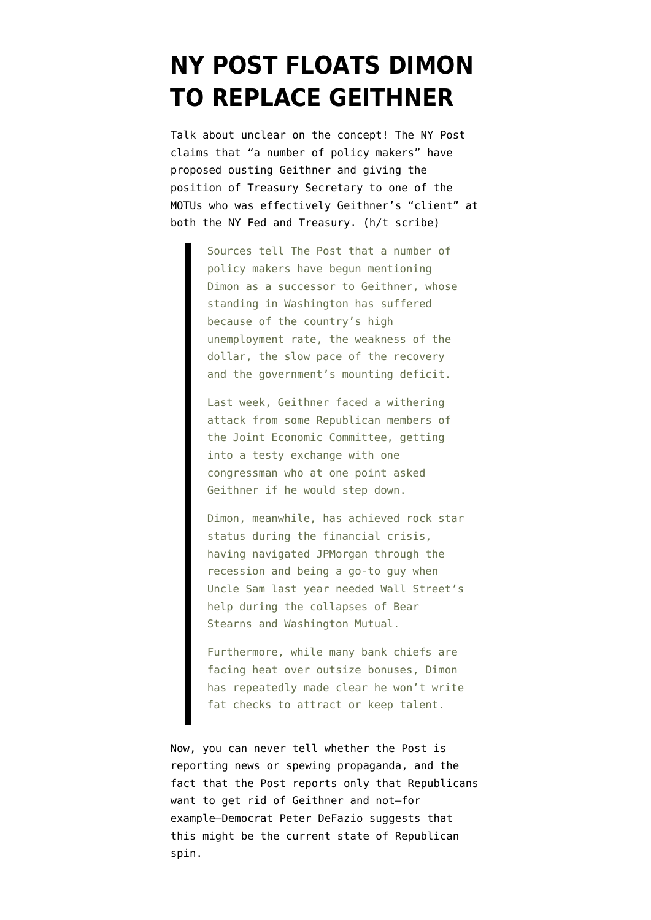## **[NY POST FLOATS DIMON](https://www.emptywheel.net/2009/11/23/ny-post-floats-dimon-to-replace-geithner/) [TO REPLACE GEITHNER](https://www.emptywheel.net/2009/11/23/ny-post-floats-dimon-to-replace-geithner/)**

Talk about unclear on the concept! The NY Post [claims](http://www.nypost.com/p/news/business/polishing_dimon_IKfyRK8PArjjlMYflWAvDK#ixzz0XgnTRWTW) that "a number of policy makers" have proposed ousting Geithner and giving the position of Treasury Secretary to one of the MOTUs who was effectively Geithner's "client" at both the NY Fed and Treasury. (h/t scribe)

> Sources tell The Post that a number of policy makers have begun mentioning Dimon as a successor to Geithner, whose standing in Washington has suffered because of the country's high unemployment rate, the weakness of the dollar, the slow pace of the recovery and the government's mounting deficit.

Last week, Geithner faced a withering attack from some Republican members of the Joint Economic Committee, getting into a testy exchange with one congressman who at one point asked Geithner if he would step down.

Dimon, meanwhile, has achieved rock star status during the financial crisis, having navigated JPMorgan through the recession and being a go-to guy when Uncle Sam last year needed Wall Street's help during the collapses of Bear Stearns and Washington Mutual.

Furthermore, while many bank chiefs are facing heat over outsize bonuses, Dimon has repeatedly made clear he won't write fat checks to attract or keep talent.

Now, you can never tell whether the Post is reporting news or spewing propaganda, and the fact that the Post reports only that Republicans want to get rid of Geithner and not–for example–Democrat Peter DeFazio suggests that this might be the current state of Republican spin.